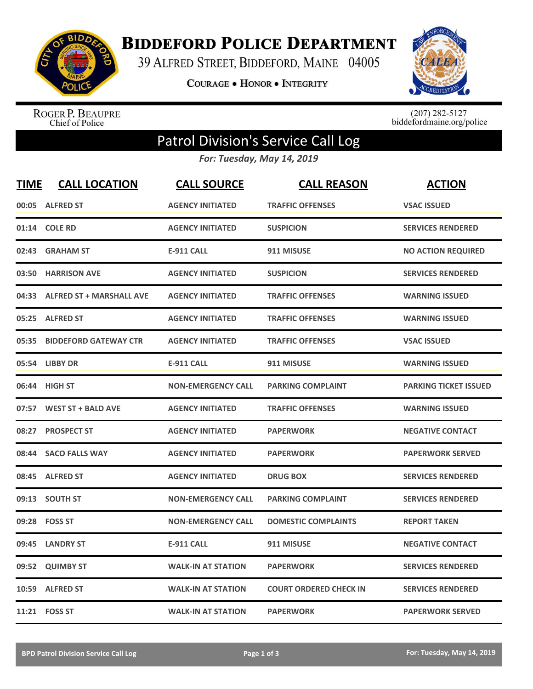

**BIDDEFORD POLICE DEPARTMENT** 

39 ALFRED STREET, BIDDEFORD, MAINE 04005

**COURAGE . HONOR . INTEGRITY** 



ROGER P. BEAUPRE<br>Chief of Police

 $(207)$  282-5127<br>biddefordmaine.org/police

## Patrol Division's Service Call Log

*For: Tuesday, May 14, 2019*

| <b>TIME</b> | <b>CALL LOCATION</b>            | <b>CALL SOURCE</b>        | <b>CALL REASON</b>            | <b>ACTION</b>                |
|-------------|---------------------------------|---------------------------|-------------------------------|------------------------------|
| 00:05       | <b>ALFRED ST</b>                | <b>AGENCY INITIATED</b>   | <b>TRAFFIC OFFENSES</b>       | <b>VSAC ISSUED</b>           |
| 01:14       | <b>COLE RD</b>                  | <b>AGENCY INITIATED</b>   | <b>SUSPICION</b>              | <b>SERVICES RENDERED</b>     |
| 02:43       | <b>GRAHAM ST</b>                | <b>E-911 CALL</b>         | 911 MISUSE                    | <b>NO ACTION REQUIRED</b>    |
| 03:50       | <b>HARRISON AVE</b>             | <b>AGENCY INITIATED</b>   | <b>SUSPICION</b>              | <b>SERVICES RENDERED</b>     |
| 04:33       | <b>ALFRED ST + MARSHALL AVE</b> | <b>AGENCY INITIATED</b>   | <b>TRAFFIC OFFENSES</b>       | <b>WARNING ISSUED</b>        |
| 05:25       | <b>ALFRED ST</b>                | <b>AGENCY INITIATED</b>   | <b>TRAFFIC OFFENSES</b>       | <b>WARNING ISSUED</b>        |
| 05:35       | <b>BIDDEFORD GATEWAY CTR</b>    | <b>AGENCY INITIATED</b>   | <b>TRAFFIC OFFENSES</b>       | <b>VSAC ISSUED</b>           |
| 05:54       | <b>LIBBY DR</b>                 | <b>E-911 CALL</b>         | 911 MISUSE                    | <b>WARNING ISSUED</b>        |
| 06:44       | <b>HIGH ST</b>                  | <b>NON-EMERGENCY CALL</b> | <b>PARKING COMPLAINT</b>      | <b>PARKING TICKET ISSUED</b> |
| 07:57       | <b>WEST ST + BALD AVE</b>       | <b>AGENCY INITIATED</b>   | <b>TRAFFIC OFFENSES</b>       | <b>WARNING ISSUED</b>        |
| 08:27       | <b>PROSPECT ST</b>              | <b>AGENCY INITIATED</b>   | <b>PAPERWORK</b>              | <b>NEGATIVE CONTACT</b>      |
| 08:44       | <b>SACO FALLS WAY</b>           | <b>AGENCY INITIATED</b>   | <b>PAPERWORK</b>              | <b>PAPERWORK SERVED</b>      |
| 08:45       | <b>ALFRED ST</b>                | <b>AGENCY INITIATED</b>   | <b>DRUG BOX</b>               | <b>SERVICES RENDERED</b>     |
| 09:13       | <b>SOUTH ST</b>                 | <b>NON-EMERGENCY CALL</b> | <b>PARKING COMPLAINT</b>      | <b>SERVICES RENDERED</b>     |
| 09:28       | <b>FOSS ST</b>                  | <b>NON-EMERGENCY CALL</b> | <b>DOMESTIC COMPLAINTS</b>    | <b>REPORT TAKEN</b>          |
| 09:45       | <b>LANDRY ST</b>                | <b>E-911 CALL</b>         | 911 MISUSE                    | <b>NEGATIVE CONTACT</b>      |
| 09:52       | <b>QUIMBY ST</b>                | <b>WALK-IN AT STATION</b> | <b>PAPERWORK</b>              | <b>SERVICES RENDERED</b>     |
| 10:59       | <b>ALFRED ST</b>                | <b>WALK-IN AT STATION</b> | <b>COURT ORDERED CHECK IN</b> | <b>SERVICES RENDERED</b>     |
|             | 11:21 FOSS ST                   | <b>WALK-IN AT STATION</b> | <b>PAPERWORK</b>              | <b>PAPERWORK SERVED</b>      |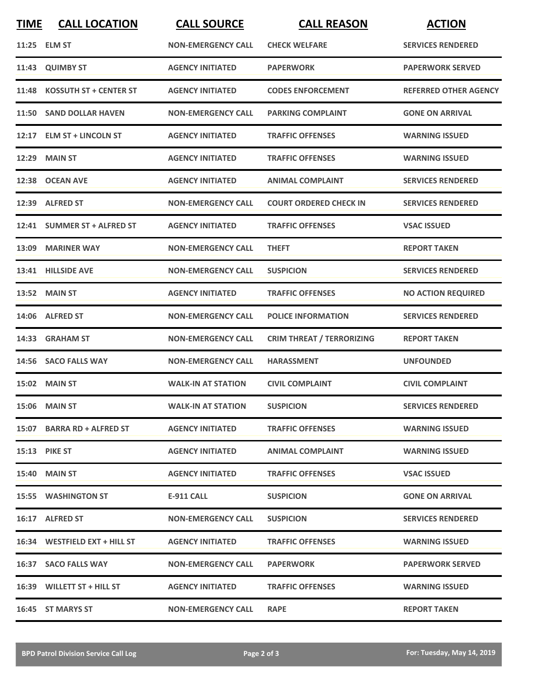| <b>TIME</b> | <b>CALL LOCATION</b>          | <b>CALL SOURCE</b>        | <b>CALL REASON</b>               | <b>ACTION</b>                |
|-------------|-------------------------------|---------------------------|----------------------------------|------------------------------|
|             | 11:25 ELM ST                  | <b>NON-EMERGENCY CALL</b> | <b>CHECK WELFARE</b>             | <b>SERVICES RENDERED</b>     |
|             | 11:43 QUIMBY ST               | <b>AGENCY INITIATED</b>   | <b>PAPERWORK</b>                 | <b>PAPERWORK SERVED</b>      |
| 11:48       | <b>KOSSUTH ST + CENTER ST</b> | <b>AGENCY INITIATED</b>   | <b>CODES ENFORCEMENT</b>         | <b>REFERRED OTHER AGENCY</b> |
|             | 11:50 SAND DOLLAR HAVEN       | <b>NON-EMERGENCY CALL</b> | <b>PARKING COMPLAINT</b>         | <b>GONE ON ARRIVAL</b>       |
|             | 12:17 ELM ST + LINCOLN ST     | <b>AGENCY INITIATED</b>   | <b>TRAFFIC OFFENSES</b>          | <b>WARNING ISSUED</b>        |
| 12:29       | MAIN ST                       | <b>AGENCY INITIATED</b>   | <b>TRAFFIC OFFENSES</b>          | <b>WARNING ISSUED</b>        |
| 12:38       | <b>OCEAN AVE</b>              | <b>AGENCY INITIATED</b>   | <b>ANIMAL COMPLAINT</b>          | <b>SERVICES RENDERED</b>     |
| 12:39       | <b>ALFRED ST</b>              | <b>NON-EMERGENCY CALL</b> | <b>COURT ORDERED CHECK IN</b>    | <b>SERVICES RENDERED</b>     |
|             | 12:41 SUMMER ST + ALFRED ST   | <b>AGENCY INITIATED</b>   | <b>TRAFFIC OFFENSES</b>          | <b>VSAC ISSUED</b>           |
|             | 13:09 MARINER WAY             | <b>NON-EMERGENCY CALL</b> | <b>THEFT</b>                     | <b>REPORT TAKEN</b>          |
|             | 13:41 HILLSIDE AVE            | <b>NON-EMERGENCY CALL</b> | <b>SUSPICION</b>                 | <b>SERVICES RENDERED</b>     |
|             | <b>13:52 MAIN ST</b>          | <b>AGENCY INITIATED</b>   | <b>TRAFFIC OFFENSES</b>          | <b>NO ACTION REQUIRED</b>    |
|             | 14:06 ALFRED ST               | <b>NON-EMERGENCY CALL</b> | <b>POLICE INFORMATION</b>        | <b>SERVICES RENDERED</b>     |
| 14:33       | <b>GRAHAM ST</b>              | <b>NON-EMERGENCY CALL</b> | <b>CRIM THREAT / TERRORIZING</b> | <b>REPORT TAKEN</b>          |
|             | 14:56 SACO FALLS WAY          | <b>NON-EMERGENCY CALL</b> | <b>HARASSMENT</b>                | <b>UNFOUNDED</b>             |
|             | <b>15:02 MAIN ST</b>          | <b>WALK-IN AT STATION</b> | <b>CIVIL COMPLAINT</b>           | <b>CIVIL COMPLAINT</b>       |
|             | 15:06 MAIN ST                 | <b>WALK-IN AT STATION</b> | <b>SUSPICION</b>                 | <b>SERVICES RENDERED</b>     |
|             | 15:07 BARRA RD + ALFRED ST    | <b>AGENCY INITIATED</b>   | <b>TRAFFIC OFFENSES</b>          | <b>WARNING ISSUED</b>        |
|             | <b>15:13 PIKE ST</b>          | <b>AGENCY INITIATED</b>   | <b>ANIMAL COMPLAINT</b>          | <b>WARNING ISSUED</b>        |
|             | <b>15:40 MAIN ST</b>          | <b>AGENCY INITIATED</b>   | <b>TRAFFIC OFFENSES</b>          | <b>VSAC ISSUED</b>           |
|             | 15:55 WASHINGTON ST           | E-911 CALL                | <b>SUSPICION</b>                 | <b>GONE ON ARRIVAL</b>       |
|             | 16:17 ALFRED ST               | <b>NON-EMERGENCY CALL</b> | <b>SUSPICION</b>                 | <b>SERVICES RENDERED</b>     |
|             | 16:34 WESTFIELD EXT + HILL ST | <b>AGENCY INITIATED</b>   | <b>TRAFFIC OFFENSES</b>          | <b>WARNING ISSUED</b>        |
|             | 16:37 SACO FALLS WAY          | <b>NON-EMERGENCY CALL</b> | <b>PAPERWORK</b>                 | <b>PAPERWORK SERVED</b>      |
|             | 16:39 WILLETT ST + HILL ST    | <b>AGENCY INITIATED</b>   | <b>TRAFFIC OFFENSES</b>          | <b>WARNING ISSUED</b>        |
|             | 16:45 ST MARYS ST             | <b>NON-EMERGENCY CALL</b> | <b>RAPE</b>                      | <b>REPORT TAKEN</b>          |